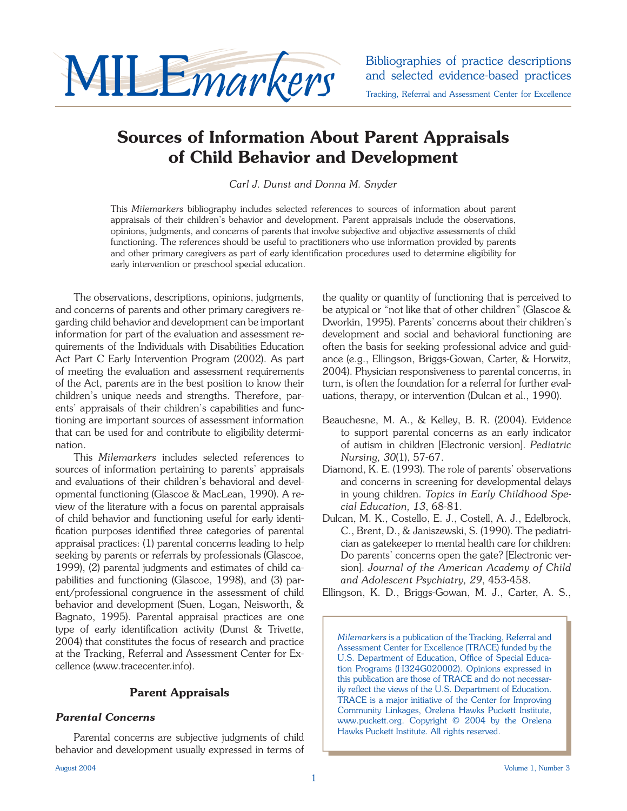

## **Sources of Information About Parent Appraisals of Child Behavior and Development**

*Carl J. Dunst and Donna M. Snyder*

This *Milemarkers* bibliography includes selected references to sources of information about parent appraisals of their children's behavior and development. Parent appraisals include the observations, opinions, judgments, and concerns of parents that involve subjective and objective assessments of child functioning. The references should be useful to practitioners who use information provided by parents and other primary caregivers as part of early identification procedures used to determine eligibility for early intervention or preschool special education.

 The observations, descriptions, opinions, judgments, and concerns of parents and other primary caregivers regarding child behavior and development can be important information for part of the evaluation and assessment requirements of the Individuals with Disabilities Education Act Part C Early Intervention Program (2002). As part of meeting the evaluation and assessment requirements of the Act, parents are in the best position to know their children's unique needs and strengths. Therefore, parents' appraisals of their children's capabilities and functioning are important sources of assessment information that can be used for and contribute to eligibility determination.

 This *Milemarkers* includes selected references to sources of information pertaining to parents' appraisals and evaluations of their children's behavioral and developmental functioning (Glascoe & MacLean, 1990). A review of the literature with a focus on parental appraisals of child behavior and functioning useful for early identification purposes identified three categories of parental appraisal practices: (1) parental concerns leading to help seeking by parents or referrals by professionals (Glascoe, 1999), (2) parental judgments and estimates of child capabilities and functioning (Glascoe, 1998), and (3) parent/professional congruence in the assessment of child behavior and development (Suen, Logan, Neisworth, & Bagnato, 1995). Parental appraisal practices are one type of early identification activity (Dunst & Trivette, 2004) that constitutes the focus of research and practice at the Tracking, Referral and Assessment Center for Excellence (www.tracecenter.info).

## **Parent Appraisals**

## *Parental Concerns*

Parental concerns are subjective judgments of child behavior and development usually expressed in terms of the quality or quantity of functioning that is perceived to be atypical or "not like that of other children" (Glascoe & Dworkin, 1995). Parents' concerns about their children's development and social and behavioral functioning are often the basis for seeking professional advice and guidance (e.g., Ellingson, Briggs-Gowan, Carter, & Horwitz, 2004). Physician responsiveness to parental concerns, in turn, is often the foundation for a referral for further evaluations, therapy, or intervention (Dulcan et al., 1990).

- Beauchesne, M. A., & Kelley, B. R. (2004). Evidence to support parental concerns as an early indicator of autism in children [Electronic version]. *Pediatric Nursing, 30*(1), 57-67.
- Diamond, K. E. (1993). The role of parents' observations and concerns in screening for developmental delays in young children. *Topics in Early Childhood Special Education, 13*, 68-81.
- Dulcan, M. K., Costello, E. J., Costell, A. J., Edelbrock, C., Brent, D., & Janiszewski, S. (1990). The pediatrician as gatekeeper to mental health care for children: Do parents' concerns open the gate? [Electronic version]. *Journal of the American Academy of Child and Adolescent Psychiatry, 29*, 453-458.

Ellingson, K. D., Briggs-Gowan, M. J., Carter, A. S.,

*Milemarkers* is a publication of the Tracking, Referral and Assessment Center for Excellence (TRACE) funded by the U.S. Department of Education, Office of Special Education Programs (H324G020002). Opinions expressed in this publication are those of TRACE and do not necessarily reflect the views of the U.S. Department of Education. TRACE is a major initiative of the Center for Improving Community Linkages, Orelena Hawks Puckett Institute, www.puckett.org. Copyright © 2004 by the Orelena Hawks Puckett Institute. All rights reserved.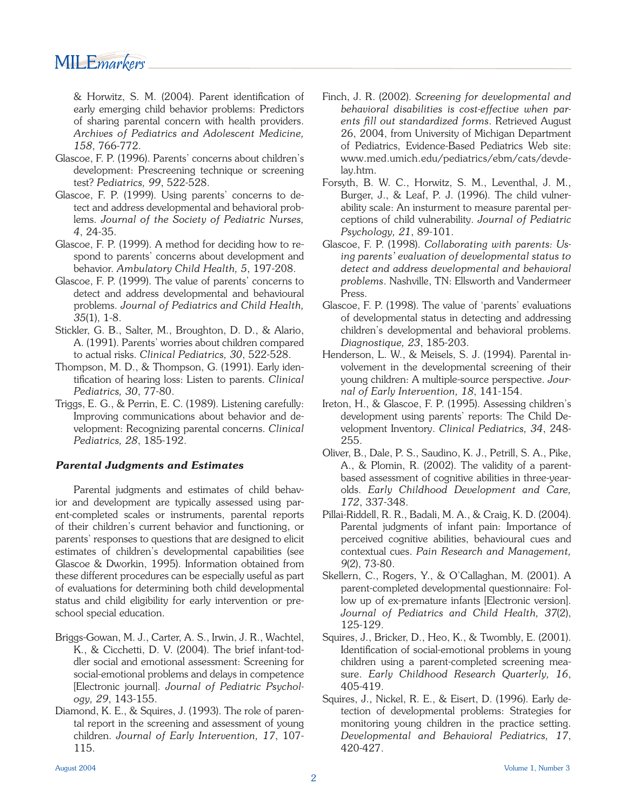# MILE*markers*

& Horwitz, S. M. (2004). Parent identification of early emerging child behavior problems: Predictors of sharing parental concern with health providers. *Archives of Pediatrics and Adolescent Medicine, 158*, 766-772.

- Glascoe, F. P. (1996). Parents' concerns about children's development: Prescreening technique or screening test? *Pediatrics, 99*, 522-528.
- Glascoe, F. P. (1999). Using parents' concerns to detect and address developmental and behavioral problems. *Journal of the Society of Pediatric Nurses, 4*, 24-35.
- Glascoe, F. P. (1999). A method for deciding how to respond to parents' concerns about development and behavior. *Ambulatory Child Health, 5*, 197-208.
- Glascoe, F. P. (1999). The value of parents' concerns to detect and address developmental and behavioural problems. *Journal of Pediatrics and Child Health, 35*(1), 1-8.
- Stickler, G. B., Salter, M., Broughton, D. D., & Alario, A. (1991). Parents' worries about children compared to actual risks. *Clinical Pediatrics, 30*, 522-528.
- Thompson, M. D., & Thompson, G. (1991). Early identification of hearing loss: Listen to parents. *Clinical Pediatrics, 30*, 77-80.
- Triggs, E. G., & Perrin, E. C. (1989). Listening carefully: Improving communications about behavior and development: Recognizing parental concerns. *Clinical Pediatrics, 28*, 185-192.

## *Parental Judgments and Estimates*

 Parental judgments and estimates of child behavior and development are typically assessed using parent-completed scales or instruments, parental reports of their children's current behavior and functioning, or parents' responses to questions that are designed to elicit estimates of children's developmental capabilities (see Glascoe & Dworkin, 1995). Information obtained from these different procedures can be especially useful as part of evaluations for determining both child developmental status and child eligibility for early intervention or preschool special education.

- Briggs-Gowan, M. J., Carter, A. S., Irwin, J. R., Wachtel, K., & Cicchetti, D. V. (2004). The brief infant-toddler social and emotional assessment: Screening for social-emotional problems and delays in competence [Electronic journal]. *Journal of Pediatric Psychology, 29*, 143-155.
- Diamond, K. E., & Squires, J. (1993). The role of parental report in the screening and assessment of young children. *Journal of Early Intervention, 17*, 107- 115.
- Finch, J. R. (2002). *Screening for developmental and behavioral disabilities is cost-effective when parents fi ll out standardized forms*. Retrieved August 26, 2004, from University of Michigan Department of Pediatrics, Evidence-Based Pediatrics Web site: www.med.umich.edu/pediatrics/ebm/cats/devdelay.htm.
- Forsyth, B. W. C., Horwitz, S. M., Leventhal, J. M., Burger, J., & Leaf, P. J. (1996). The child vulnerability scale: An insturment to measure parental perceptions of child vulnerability. *Journal of Pediatric Psychology, 21*, 89-101.
- Glascoe, F. P. (1998). *Collaborating with parents: Using parents' evaluation of developmental status to detect and address developmental and behavioral problems*. Nashville, TN: Ellsworth and Vandermeer Press.
- Glascoe, F. P. (1998). The value of 'parents' evaluations of developmental status in detecting and addressing children's developmental and behavioral problems. *Diagnostique, 23*, 185-203.
- Henderson, L. W., & Meisels, S. J. (1994). Parental involvement in the developmental screening of their young children: A multiple-source perspective. *Journal of Early Intervention, 18*, 141-154.
- Ireton, H., & Glascoe, F. P. (1995). Assessing children's development using parents' reports: The Child Development Inventory. *Clinical Pediatrics, 34*, 248- 255.
- Oliver, B., Dale, P. S., Saudino, K. J., Petrill, S. A., Pike, A., & Plomin, R. (2002). The validity of a parentbased assessment of cognitive abilities in three-yearolds. *Early Childhood Development and Care, 172*, 337-348.
- Pillai-Riddell, R. R., Badali, M. A., & Craig, K. D. (2004). Parental judgments of infant pain: Importance of perceived cognitive abilities, behavioural cues and contextual cues. *Pain Research and Management, 9*(2), 73-80.
- Skellern, C., Rogers, Y., & O'Callaghan, M. (2001). A parent-completed developmental questionnaire: Follow up of ex-premature infants [Electronic version]. *Journal of Pediatrics and Child Health, 37*(2), 125-129.
- Squires, J., Bricker, D., Heo, K., & Twombly, E. (2001). Identification of social-emotional problems in young children using a parent-completed screening measure. *Early Childhood Research Quarterly, 16*, 405-419.
- Squires, J., Nickel, R. E., & Eisert, D. (1996). Early detection of developmental problems: Strategies for monitoring young children in the practice setting. *Developmental and Behavioral Pediatrics, 17*, 420-427.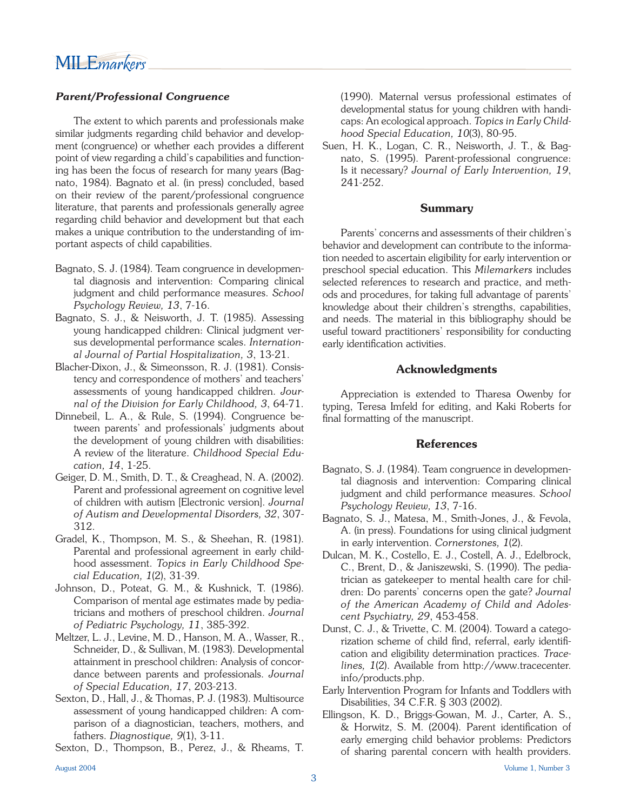## *Parent/Professional Congruence*

 The extent to which parents and professionals make similar judgments regarding child behavior and development (congruence) or whether each provides a different point of view regarding a child's capabilities and functioning has been the focus of research for many years (Bagnato, 1984). Bagnato et al. (in press) concluded, based on their review of the parent/professional congruence literature, that parents and professionals generally agree regarding child behavior and development but that each makes a unique contribution to the understanding of important aspects of child capabilities.

- Bagnato, S. J. (1984). Team congruence in developmental diagnosis and intervention: Comparing clinical judgment and child performance measures. *School Psychology Review, 13*, 7-16.
- Bagnato, S. J., & Neisworth, J. T. (1985). Assessing young handicapped children: Clinical judgment versus developmental performance scales. *International Journal of Partial Hospitalization, 3*, 13-21.
- Blacher-Dixon, J., & Simeonsson, R. J. (1981). Consistency and correspondence of mothers' and teachers' assessments of young handicapped children. *Journal of the Division for Early Childhood, 3*, 64-71.
- Dinnebeil, L. A., & Rule, S. (1994). Congruence between parents' and professionals' judgments about the development of young children with disabilities: A review of the literature. *Childhood Special Education, 14*, 1-25.
- Geiger, D. M., Smith, D. T., & Creaghead, N. A. (2002). Parent and professional agreement on cognitive level of children with autism [Electronic version]. *Journal of Autism and Developmental Disorders, 32*, 307- 312.
- Gradel, K., Thompson, M. S., & Sheehan, R. (1981). Parental and professional agreement in early childhood assessment. *Topics in Early Childhood Special Education, 1*(2), 31-39.
- Johnson, D., Poteat, G. M., & Kushnick, T. (1986). Comparison of mental age estimates made by pediatricians and mothers of preschool children. *Journal of Pediatric Psychology, 11*, 385-392.
- Meltzer, L. J., Levine, M. D., Hanson, M. A., Wasser, R., Schneider, D., & Sullivan, M. (1983). Developmental attainment in preschool children: Analysis of concordance between parents and professionals. *Journal of Special Education, 17*, 203-213.
- Sexton, D., Hall, J., & Thomas, P. J. (1983). Multisource assessment of young handicapped children: A comparison of a diagnostician, teachers, mothers, and fathers. *Diagnostique, 9*(1), 3-11.
- Sexton, D., Thompson, B., Perez, J., & Rheams, T.

(1990). Maternal versus professional estimates of developmental status for young children with handicaps: An ecological approach. *Topics in Early Childhood Special Education, 10*(3), 80-95.

Suen, H. K., Logan, C. R., Neisworth, J. T., & Bagnato, S. (1995). Parent-professional congruence: Is it necessary? *Journal of Early Intervention, 19*, 241-252.

#### **Summary**

 Parents' concerns and assessments of their children's behavior and development can contribute to the information needed to ascertain eligibility for early intervention or preschool special education. This *Milemarkers* includes selected references to research and practice, and methods and procedures, for taking full advantage of parents' knowledge about their children's strengths, capabilities, and needs. The material in this bibliography should be useful toward practitioners' responsibility for conducting early identification activities.

#### **Acknowledgments**

 Appreciation is extended to Tharesa Owenby for typing, Teresa Imfeld for editing, and Kaki Roberts for final formatting of the manuscript.

#### **References**

- Bagnato, S. J. (1984). Team congruence in developmental diagnosis and intervention: Comparing clinical judgment and child performance measures. *School Psychology Review, 13*, 7-16.
- Bagnato, S. J., Matesa, M., Smith-Jones, J., & Fevola, A. (in press). Foundations for using clinical judgment in early intervention. *Cornerstones, 1*(2).
- Dulcan, M. K., Costello, E. J., Costell, A. J., Edelbrock, C., Brent, D., & Janiszewski, S. (1990). The pediatrician as gatekeeper to mental health care for children: Do parents' concerns open the gate? *Journal of the American Academy of Child and Adolescent Psychiatry, 29*, 453-458.
- Dunst, C. J., & Trivette, C. M. (2004). Toward a categorization scheme of child find, referral, early identification and eligibility determination practices. *Tracelines, 1*(2). Available from http://www.tracecenter. info/products.php.
- Early Intervention Program for Infants and Toddlers with Disabilities, 34 C.F.R. § 303 (2002).
- Ellingson, K. D., Briggs-Gowan, M. J., Carter, A. S., & Horwitz, S. M. (2004). Parent identification of early emerging child behavior problems: Predictors of sharing parental concern with health providers.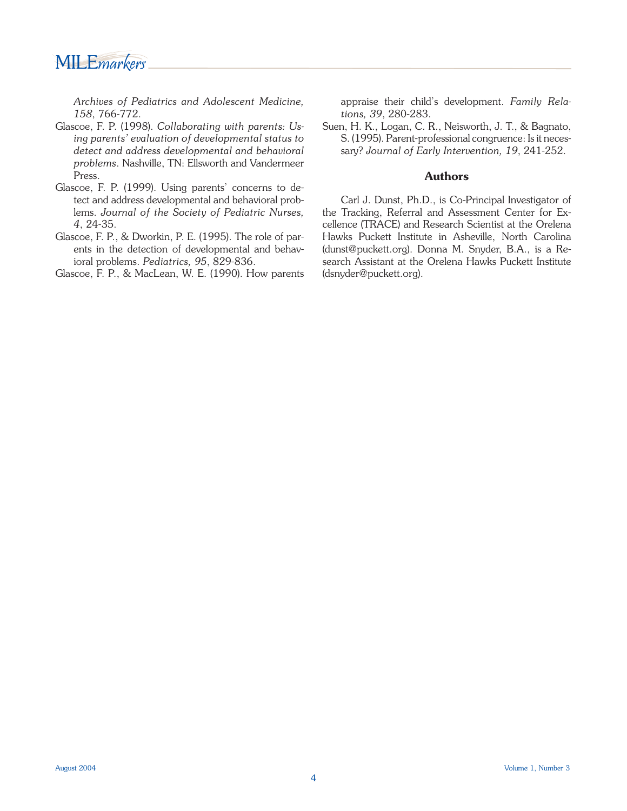MILE*markers* 

*Archives of Pediatrics and Adolescent Medicine, 158*, 766-772.

- Glascoe, F. P. (1998). *Collaborating with parents: Using parents' evaluation of developmental status to detect and address developmental and behavioral problems*. Nashville, TN: Ellsworth and Vandermeer Press.
- Glascoe, F. P. (1999). Using parents' concerns to detect and address developmental and behavioral problems. *Journal of the Society of Pediatric Nurses, 4*, 24-35.
- Glascoe, F. P., & Dworkin, P. E. (1995). The role of parents in the detection of developmental and behavioral problems. *Pediatrics, 95*, 829-836.

Glascoe, F. P., & MacLean, W. E. (1990). How parents

appraise their child's development. *Family Relations, 39*, 280-283.

Suen, H. K., Logan, C. R., Neisworth, J. T., & Bagnato, S. (1995). Parent-professional congruence: Is it necessary? *Journal of Early Intervention, 19*, 241-252.

#### **Authors**

 Carl J. Dunst, Ph.D., is Co-Principal Investigator of the Tracking, Referral and Assessment Center for Excellence (TRACE) and Research Scientist at the Orelena Hawks Puckett Institute in Asheville, North Carolina (dunst@puckett.org). Donna M. Snyder, B.A., is a Research Assistant at the Orelena Hawks Puckett Institute (dsnyder@puckett.org).